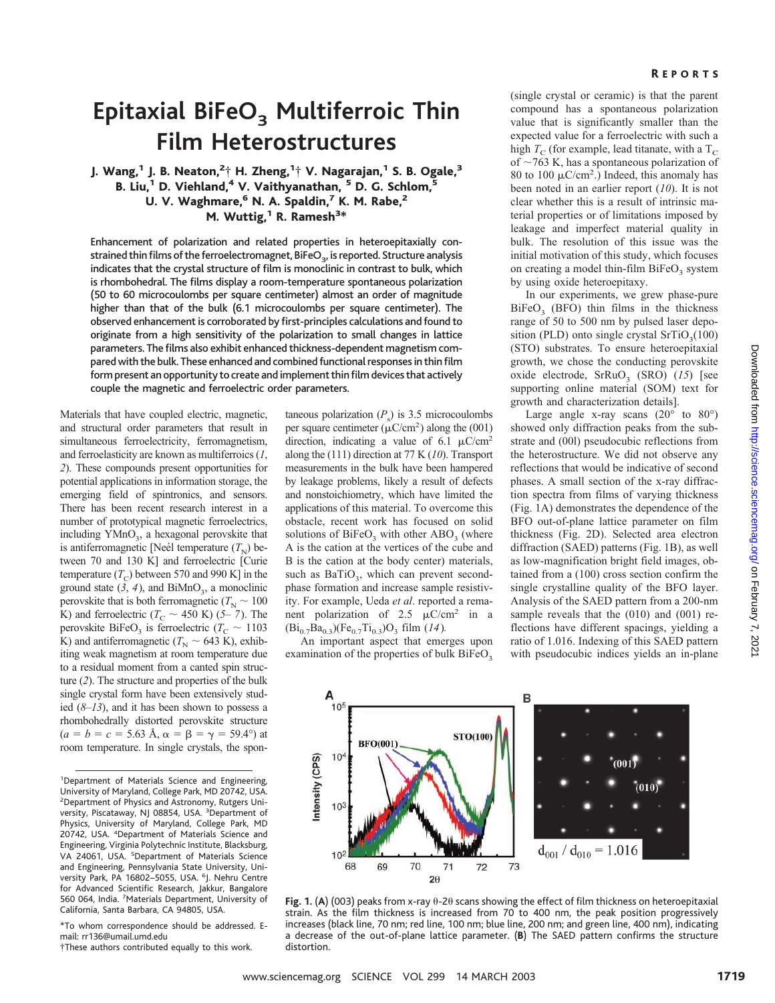# **Epitaxial BiFeO<sub>3</sub> Multiferroic Thin Film Heterostructures**

J. Wang, $^1$  J. B. Neaton, $^2{}^{\!+}_{\!1}$  H. Zheng, $^1{}^{\!+}_{\!1}$  V. Nagarajan, $^1$  S. B. Ogale, $^3$ B. Liu,<sup>1</sup> D. Viehland,<sup>4</sup> V. Vaithyanathan, <sup>5</sup> D. G. Schlom,<sup>5</sup> U. V. Waghmare,<sup>6</sup> N. A. Spaldin,<sup>7</sup> K. M. Rabe,<sup>2</sup> M. Wuttig,<sup>1</sup> R. Ramesh<sup>3\*</sup>

Enhancement of polarization and related properties in heteroepitaxially constrained thin films of the ferroelectromagnet, BiFeO<sub>3</sub>, is reported. Structure analysis indicates that the crystal structure of film is monoclinic in contrast to bulk, which is rhombohedral. The films display a room-temperature spontaneous polarization (50 to 60 microcoulombs per square centimeter) almost an order of magnitude higher than that of the bulk (6.1 microcoulombs per square centimeter). The observed enhancement is corroborated by first-principles calculations and found to originate from a high sensitivity of the polarization to small changes in lattice parameters. The films also exhibit enhanced thickness-dependent magnetism compared with the bulk. These enhanced and combined functional responses in thin film form present an opportunity to create and implement thin film devices that actively couple the magnetic and ferroelectric order parameters.

Materials that have coupled electric, magnetic, and structural order parameters that result in simultaneous ferroelectricity, ferromagnetism, and ferroelasticity are known as multiferroics (*1*, *2*). These compounds present opportunities for potential applications in information storage, the emerging field of spintronics, and sensors. There has been recent research interest in a number of prototypical magnetic ferroelectrics, including YMnO<sub>3</sub>, a hexagonal perovskite that is antiferromagnetic [Neél temperature  $(T<sub>N</sub>)$  between 70 and 130 K] and ferroelectric [Curie temperature  $(T_c)$  between 570 and 990 K] in the ground state  $(3, 4)$ , and BiMnO<sub>3</sub>, a monoclinic perovskite that is both ferromagnetic ( $T_{\rm N} \sim 100$ ) K) and ferroelectric ( $T_C \sim 450$  K) (5–7). The perovskite BiFeO<sub>3</sub> is ferroelectric ( $T_{\rm C} \sim 1103$ ) K) and antiferromagnetic ( $T_{\text{N}} \sim 643$  K), exhibiting weak magnetism at room temperature due to a residual moment from a canted spin structure (*2*). The structure and properties of the bulk single crystal form have been extensively studied (*8*–*13*), and it has been shown to possess a rhombohedrally distorted perovskite structure  $(a = b = c = 5.63$  Å,  $\alpha = \beta = \gamma = 59.4^{\circ}$  at room temperature. In single crystals, the spon-

\*To whom correspondence should be addressed. Email: rr136@umail.umd.edu

†These authors contributed equally to this work.

taneous polarization  $(P_s)$  is 3.5 microcoulombs per square centimeter  $(\mu$ C/cm<sup>2</sup>) along the (001) direction, indicating a value of 6.1  $\mu$ C/cm<sup>2</sup> along the (111) direction at 77 K (*10*). Transport measurements in the bulk have been hampered by leakage problems, likely a result of defects and nonstoichiometry, which have limited the applications of this material. To overcome this obstacle, recent work has focused on solid solutions of  $BiFeO<sub>3</sub>$  with other  $ABO<sub>3</sub>$  (where A is the cation at the vertices of the cube and B is the cation at the body center) materials, such as  $BaTiO<sub>3</sub>$ , which can prevent secondphase formation and increase sample resistivity. For example, Ueda *et al*. reported a remanent polarization of 2.5  $\mu$ C/cm<sup>2</sup> in a  $(Bi_{0.7}Ba_{0.3})(Fe_{0.7}Ti_{0.3})O_3$  film (14).

An important aspect that emerges upon examination of the properties of bulk  $BiFeO<sub>3</sub>$ 

(single crystal or ceramic) is that the parent compound has a spontaneous polarization value that is significantly smaller than the expected value for a ferroelectric with such a high  $T_C$  (for example, lead titanate, with a  $T_C$ of  $\sim$ 763 K, has a spontaneous polarization of 80 to 100  $\mu$ C/cm<sup>2</sup>.) Indeed, this anomaly has been noted in an earlier report (*10*). It is not clear whether this is a result of intrinsic material properties or of limitations imposed by leakage and imperfect material quality in bulk. The resolution of this issue was the initial motivation of this study, which focuses on creating a model thin-film  $BiFeO<sub>3</sub>$  system by using oxide heteroepitaxy.

In our experiments, we grew phase-pure  $BiFeO<sub>3</sub>$  (BFO) thin films in the thickness range of 50 to 500 nm by pulsed laser deposition (PLD) onto single crystal  $SrTiO<sub>3</sub>(100)$ (STO) substrates. To ensure heteroepitaxial growth, we chose the conducting perovskite oxide electrode, SrRuO<sub>3</sub> (SRO) (15) [see supporting online material (SOM) text for growth and characterization details].

Large angle x-ray scans  $(20^{\circ}$  to  $80^{\circ})$ showed only diffraction peaks from the substrate and (00l) pseudocubic reflections from the heterostructure. We did not observe any reflections that would be indicative of second phases. A small section of the x-ray diffraction spectra from films of varying thickness (Fig. 1A) demonstrates the dependence of the BFO out-of-plane lattice parameter on film thickness (Fig. 2D). Selected area electron diffraction (SAED) patterns (Fig. 1B), as well as low-magnification bright field images, obtained from a (100) cross section confirm the single crystalline quality of the BFO layer. Analysis of the SAED pattern from a 200-nm sample reveals that the (010) and (001) reflections have different spacings, yielding a ratio of 1.016. Indexing of this SAED pattern with pseudocubic indices yields an in-plane



Fig. 1. (A) (003) peaks from x-ray  $\theta$ -2 $\theta$  scans showing the effect of film thickness on heteroepitaxial strain. As the film thickness is increased from 70 to 400 nm, the peak position progressively increases (black line, 70 nm; red line, 100 nm; blue line, 200 nm; and green line, 400 nm), indicating a decrease of the out-of-plane lattice parameter. (**B**) The SAED pattern confirms the structure distortion.

<sup>&</sup>lt;sup>1</sup>Department of Materials Science and Engineering, University of Maryland, College Park, MD 20742, USA. 2 Department of Physics and Astronomy, Rutgers University, Piscataway, NJ 08854, USA. <sup>3</sup>Department of Physics, University of Maryland, College Park, MD 20742, USA. <sup>4</sup>Department of Materials Science and Engineering, Virginia Polytechnic Institute, Blacksburg, VA 24061, USA. <sup>5</sup>Department of Materials Science and Engineering, Pennsylvania State University, University Park, PA 16802-5055, USA. <sup>6</sup>J. Nehru Centre for Advanced Scientific Research, Jakkur, Bangalore 560 064, India. <sup>7</sup>Materials Department, University of California, Santa Barbara, CA94805, USA.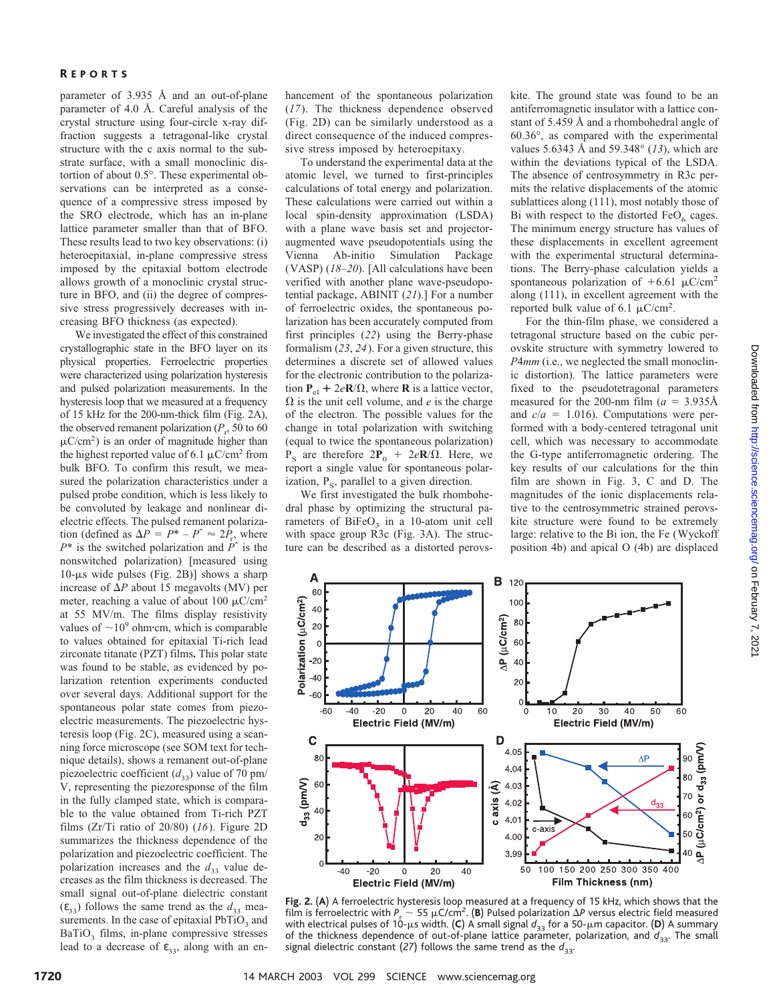parameter of 3.935 Å and an out-of-plane parameter of 4.0 Å. Careful analysis of the crystal structure using four-circle x-ray diffraction suggests a tetragonal-like crystal structure with the c axis normal to the substrate surface, with a small monoclinic distortion of about 0.5°. These experimental observations can be interpreted as a consequence of a compressive stress imposed by the SRO electrode, which has an in-plane lattice parameter smaller than that of BFO. These results lead to two key observations: (i) heteroepitaxial, in-plane compressive stress imposed by the epitaxial bottom electrode allows growth of a monoclinic crystal structure in BFO, and (ii) the degree of compressive stress progressively decreases with increasing BFO thickness (as expected).

We investigated the effect of this constrained crystallographic state in the BFO layer on its physical properties. Ferroelectric properties were characterized using polarization hysteresis and pulsed polarization measurements. In the hysteresis loop that we measured at a frequency of 15 kHz for the 200-nm-thick film (Fig. 2A), the observed remanent polarization  $(P_r, 50 \text{ to } 60)$  $\mu$ C/cm<sup>2</sup>) is an order of magnitude higher than the highest reported value of 6.1  $\mu$ C/cm<sup>2</sup> from bulk BFO. To confirm this result, we measured the polarization characteristics under a pulsed probe condition, which is less likely to be convoluted by leakage and nonlinear dielectric effects. The pulsed remanent polarization (defined as  $\Delta P = P^* - P^* \approx 2P_r$ , where *P*\* is the switched polarization and *P*ˆ is the nonswitched polarization) [measured using  $10$ - $\mu$ s wide pulses (Fig. 2B)] shows a sharp increase of  $\Delta P$  about 15 megavolts (MV) per meter, reaching a value of about 100  $\mu$ C/cm<sup>2</sup> at 55 MV/m. The films display resistivity values of  $\sim$ 10<sup>9</sup> ohm·cm, which is comparable to values obtained for epitaxial Ti-rich lead zirconate titanate (PZT) films**.** This polar state was found to be stable, as evidenced by polarization retention experiments conducted over several days. Additional support for the spontaneous polar state comes from piezoelectric measurements. The piezoelectric hysteresis loop (Fig. 2C), measured using a scanning force microscope (see SOM text for technique details), shows a remanent out-of-plane piezoelectric coefficient  $(d_{33})$  value of 70 pm/ V, representing the piezoresponse of the film in the fully clamped state, which is comparable to the value obtained from Ti-rich PZT films (Zr/Ti ratio of 20/80) (*16*). Figure 2D summarizes the thickness dependence of the polarization and piezoelectric coefficient. The polarization increases and the  $d_{33}$  value decreases as the film thickness is decreased. The small signal out-of-plane dielectric constant  $(\varepsilon_{33})$  follows the same trend as the  $d_{33}$  measurements. In the case of epitaxial  $PbTiO<sub>3</sub>$  and  $BaTiO<sub>3</sub>$  films, in-plane compressive stresses lead to a decrease of  $\varepsilon_{33}$ , along with an enhancement of the spontaneous polarization (*17*). The thickness dependence observed (Fig. 2D) can be similarly understood as a direct consequence of the induced compressive stress imposed by heteroepitaxy.

To understand the experimental data at the atomic level, we turned to first-principles calculations of total energy and polarization. These calculations were carried out within a local spin-density approximation (LSDA) with a plane wave basis set and projectoraugmented wave pseudopotentials using the Vienna Ab-initio Simulation Package (VASP) (*18*–*20*). [All calculations have been verified with another plane wave-pseudopotential package, ABINIT (*21*).] For a number of ferroelectric oxides, the spontaneous polarization has been accurately computed from first principles (*22*) using the Berry-phase formalism (*23*, *24*). For a given structure, this determines a discrete set of allowed values for the electronic contribution to the polarization  $P_{el} + 2eR/\Omega$ , where **R** is a lattice vector,  $\Omega$  is the unit cell volume, and *e* is the charge of the electron. The possible values for the change in total polarization with switching (equal to twice the spontaneous polarization)  $P<sub>S</sub>$  are therefore  $2P<sub>0</sub> + 2eR/\Omega$ . Here, we report a single value for spontaneous polarization,  $P_s$ , parallel to a given direction.

We first investigated the bulk rhombohedral phase by optimizing the structural parameters of  $BiFeO<sub>3</sub>$  in a 10-atom unit cell with space group R3c (Fig. 3A). The structure can be described as a distorted perovs-

A

60

40

20

 $\mathcal{L}$  $-20$ 

 $-40$ 

-60

 $\mathbf C$ 

 $d_{33}$  (pm/V) **60** 

 $4<sub>C</sub>$ 

 $\sqrt{ }$ 

Polarization (µC/cm<sup>2</sup>)

kite. The ground state was found to be an antiferromagnetic insulator with a lattice constant of 5.459 Å and a rhombohedral angle of 60.36°, as compared with the experimental values 5.6343 Å and 59.348° (*13*), which are within the deviations typical of the LSDA. The absence of centrosymmetry in R3c permits the relative displacements of the atomic sublattices along (111), most notably those of Bi with respect to the distorted  $FeO<sub>6</sub>$  cages. The minimum energy structure has values of these displacements in excellent agreement with the experimental structural determinations. The Berry-phase calculation yields a spontaneous polarization of  $+6.61 \mu C/cm^2$ along (111), in excellent agreement with the reported bulk value of 6.1  $\mu$ C/cm<sup>2</sup>.

For the thin-film phase, we considered a tetragonal structure based on the cubic perovskite structure with symmetry lowered to *P*4*mm* (i.e., we neglected the small monoclinic distortion). The lattice parameters were fixed to the pseudotetragonal parameters measured for the 200-nm film  $(a = 3.935\text{\AA})$ and  $c/a = 1.016$ ). Computations were performed with a body-centered tetragonal unit cell, which was necessary to accommodate the G-type antiferromagnetic ordering. The key results of our calculations for the thin film are shown in Fig. 3, C and D. The magnitudes of the ionic displacements relative to the centrosymmetric strained perovskite structure were found to be extremely large: relative to the Bi ion, the Fe (Wyckoff position 4b) and apical O (4b) are displaced



Fig. 2. (A) A ferroelectric hysteresis loop measured at a frequency of 15 kHz, which shows that the film is ferroelectric with  $P_1 \sim 55 \mu C/cm^2$ . (**B**) Pulsed polarization  $\Delta P$  versus electric field measured with electrical pulses of 10-μs width. (**C**) A small signal  $d_{33}$  for a 50-μm capacitor. (**D**) A summary of the thickness dependence of out-of-plane lattice parameter, polarization, and  $d_{33}$ . The small signal dielectric constant (27) follows the same trend as the  $d_{33}$ .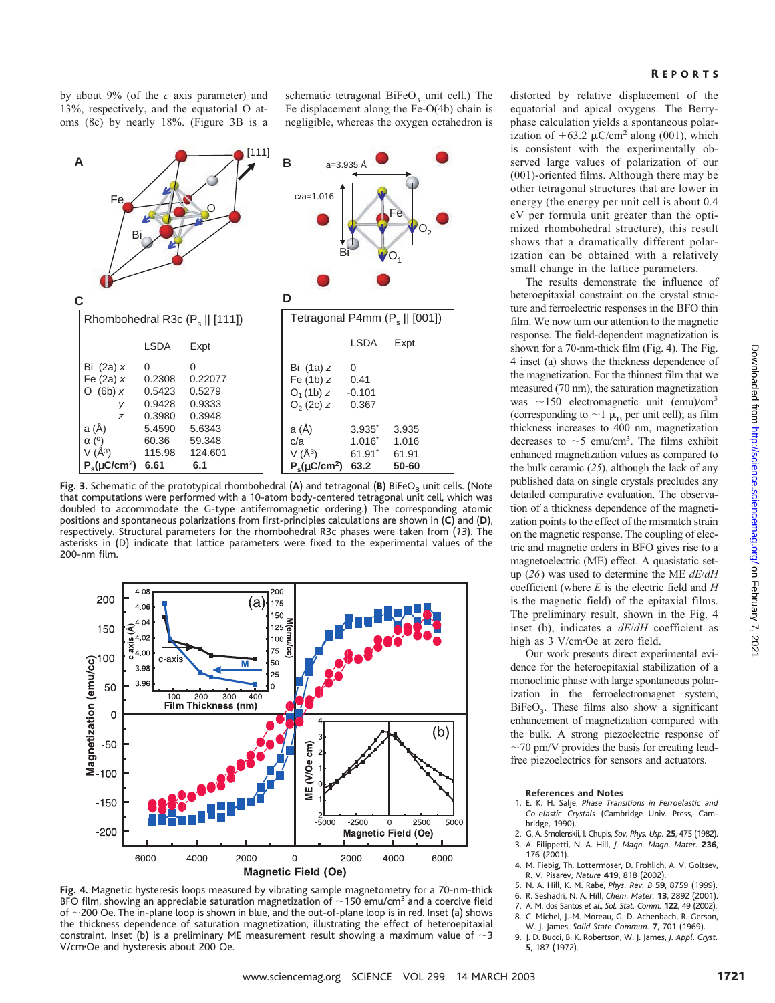by about 9% (of the *c* axis parameter) and 13%, respectively, and the equatorial O atoms (8c) by nearly 18%. (Figure 3B is a

schematic tetragonal  $BiFeO<sub>3</sub>$  unit cell.) The Fe displacement along the Fe-O(4b) chain is negligible, whereas the oxygen octahedron is



Fig. 3. Schematic of the prototypical rhombohedral (A) and tetragonal (B) BiFeO<sub>3</sub> unit cells. (Note that computations were performed with a 10-atom body-centered tetragonal unit cell, which was doubled to accommodate the G-type antiferromagnetic ordering.) The corresponding atomic positions and spontaneous polarizations from first-principles calculations are shown in (**C**) and (**D**), respectively. Structural parameters for the rhombohedral R3c phases were taken from (*13*). The asterisks in (D) indicate that lattice parameters were fixed to the experimental values of the 200-nm film.



**Fig. 4.** Magnetic hysteresis loops measured by vibrating sample magnetometry for a 70-nm-thick BFO film, showing an appreciable saturation magnetization of  $\sim$  150 emu/cm<sup>3</sup> and a coercive field of  $\sim$  200 Oe. The in-plane loop is shown in blue, and the out-of-plane loop is in red. Inset (a) shows the thickness dependence of saturation magnetization, illustrating the effect of heteroepitaxial constraint. Inset (b) is a preliminary ME measurement result showing a maximum value of  $\sim$ 3 V/cm·Oe and hysteresis about 200 Oe.

distorted by relative displacement of the equatorial and apical oxygens. The Berryphase calculation yields a spontaneous polarization of  $+63.2 \mu$ C/cm<sup>2</sup> along (001), which is consistent with the experimentally observed large values of polarization of our (001)-oriented films. Although there may be other tetragonal structures that are lower in energy (the energy per unit cell is about 0.4 eV per formula unit greater than the optimized rhombohedral structure), this result shows that a dramatically different polarization can be obtained with a relatively small change in the lattice parameters.

The results demonstrate the influence of heteroepitaxial constraint on the crystal structure and ferroelectric responses in the BFO thin film. We now turn our attention to the magnetic response. The field-dependent magnetization is shown for a 70-nm-thick film (Fig. 4). The Fig. 4 inset (a) shows the thickness dependence of the magnetization. For the thinnest film that we measured (70 nm), the saturation magnetization was  $\sim$ 150 electromagnetic unit (emu)/cm<sup>3</sup> (corresponding to  $\sim$ 1  $\mu$ <sub>B</sub> per unit cell); as film thickness increases to 400 nm, magnetization decreases to  $\sim$  5 emu/cm<sup>3</sup>. The films exhibit enhanced magnetization values as compared to the bulk ceramic (*25*), although the lack of any published data on single crystals precludes any detailed comparative evaluation. The observation of a thickness dependence of the magnetization points to the effect of the mismatch strain on the magnetic response. The coupling of electric and magnetic orders in BFO gives rise to a magnetoelectric (ME) effect. A quasistatic setup (*26*) was used to determine the ME *dE*/*dH* coefficient (where *E* is the electric field and *H* is the magnetic field) of the epitaxial films. The preliminary result, shown in the Fig. 4 inset (b), indicates a *dE*/*dH* coefficient as high as 3 V/cm·Oe at zero field.

Our work presents direct experimental evidence for the heteroepitaxial stabilization of a monoclinic phase with large spontaneous polarization in the ferroelectromagnet system,  $BiFeO<sub>3</sub>$ . These films also show a significant enhancement of magnetization compared with the bulk. A strong piezoelectric response of  $\sim$ 70 pm/V provides the basis for creating leadfree piezoelectrics for sensors and actuators.

#### **References and Notes**

- 1. E. K. H. Salje, *Phase Transitions in Ferroelastic and Co-elastic Crystals* (Cambridge Univ. Press, Cambridge, 1990).
- 2. G. A. Smolenskii, I. Chupis, *Sov. Phys. Usp.* **25**, 475 (1982). 3. A. Filippetti, N. A. Hill, *J. Magn. Magn. Mater.* **236**, 176 (2001).
- 4. M. Fiebig, Th. Lottermoser, D. Frohlich, A. V. Goltsev, R. V. Pisarev, *Nature* **419**, 818 (2002).
- 5. N. A. Hill, K. M. Rabe, *Phys. Rev. B* **59**, 8759 (1999).
- 6. R. Seshadri, N. A. Hill, *Chem. Mater.* **13**, 2892 (2001).
- 7. A. M. dos Santos *et al*., *Sol. Stat. Comm.* **122**, 49 (2002).
- 8. C. Michel, J.-M. Moreau, G. D. Achenbach, R. Gerson,
- W. J. James, *Solid State Commun.* **7**, 701 (1969). 9. J. D. Bucci, B. K. Robertson, W. J. James, *J. Appl. Cryst.* **5**, 187 (1972).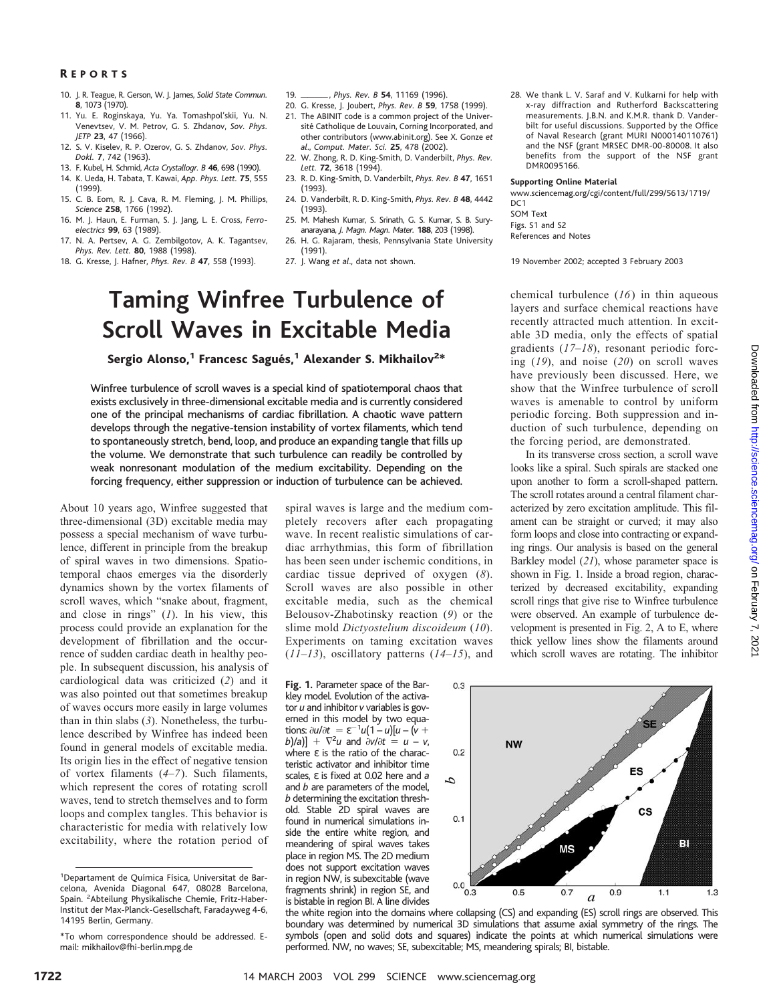### R EPORTS

- 10. J. R. Teague, R. Gerson, W. J. James, *Solid State Commun.* **8**, 1073 (1970).
- 11. Yu. E. Roginskaya, Yu. Ya. Tomashpol'skii, Yu. N. Venevtsev, V. M. Petrov, G. S. Zhdanov, *Sov. Phys. JETP* **23**, 47 (1966).
- 12. S. V. Kiselev, R. P. Ozerov, G. S. Zhdanov, *Sov. Phys. Dokl.* **7**, 742 (1963).
- 13. F. Kubel, H. Schmid, *Acta Crystallogr. B* **46**, 698 (1990). 14. K. Ueda, H. Tabata, T. Kawai, *App. Phys. Lett.* **75**, 555
- (1999).
- 15. C. B. Eom, R. J. Cava, R. M. Fleming, J. M. Phillips, *Science* **258**, 1766 (1992).
- 16. M. J. Haun, E. Furman, S. J. Jang, L. E. Cross, *Ferroelectrics* **99**, 63 (1989).
- 17. N. A. Pertsev, A. G. Zembilgotov, A. K. Tagantsev, *Phys. Rev. Lett.* **80**, 1988 (1998).
- 18. G. Kresse, J. Hafner, *Phys. Rev. B* **47**, 558 (1993).
- 19. -, *Phys. Rev. B* **54**, 11169 (1996).
- 19. \_*\_\_\_\_\_\_, Phys. Rev. B 54, 11169 (1996).*<br>20. G. Kresse, J. Joubert, *Phys. Rev. B 59, 1758 (1999).*
- 21. The ABINIT code is a common project of the Université Catholique de Louvain, Corning Incorporated, and other contributors (www.abinit.org). See X. Gonze *et al*., *Comput. Mater. Sci.* **25**, 478 (2002).
- 22. W. Zhong, R. D. King-Smith, D. Vanderbilt, *Phys. Rev. Lett.* **72**, 3618 (1994).
- 23. R. D. King-Smith, D. Vanderbilt, *Phys. Rev. B* **47**, 1651 (1993).
- 24. D. Vanderbilt, R. D. King-Smith, *Phys. Rev. B* **48**, 4442 (1993).
- 25. M. Mahesh Kumar, S. Srinath, G. S. Kumar, S. B. Suryanarayana, *J. Magn. Magn. Mater.* **188**, 203 (1998).
- 26. H. G. Rajaram, thesis, Pennsylvania State University (1991).
- 27. J. Wang *et al*., data not shown.

# **Taming Winfree Turbulence of Scroll Waves in Excitable Media**

Sergio Alonso, $^1$  Francesc Sagués, $^1$  Alexander S. Mikhailov $^{2\ast}$ 

Winfree turbulence of scroll waves is a special kind of spatiotemporal chaos that exists exclusively in three-dimensional excitable media and is currently considered one of the principal mechanisms of cardiac fibrillation. A chaotic wave pattern develops through the negative-tension instability of vortex filaments, which tend to spontaneously stretch, bend, loop, and produce an expanding tangle that fills up the volume. We demonstrate that such turbulence can readily be controlled by weak nonresonant modulation of the medium excitability. Depending on the forcing frequency, either suppression or induction of turbulence can be achieved.

About 10 years ago, Winfree suggested that three-dimensional (3D) excitable media may possess a special mechanism of wave turbulence, different in principle from the breakup of spiral waves in two dimensions. Spatiotemporal chaos emerges via the disorderly dynamics shown by the vortex filaments of scroll waves, which "snake about, fragment, and close in rings" (*1*). In his view, this process could provide an explanation for the development of fibrillation and the occurrence of sudden cardiac death in healthy people. In subsequent discussion, his analysis of cardiological data was criticized (*2*) and it was also pointed out that sometimes breakup of waves occurs more easily in large volumes than in thin slabs (*3*). Nonetheless, the turbulence described by Winfree has indeed been found in general models of excitable media. Its origin lies in the effect of negative tension of vortex filaments (*4*–*7*). Such filaments, which represent the cores of rotating scroll waves, tend to stretch themselves and to form loops and complex tangles. This behavior is characteristic for media with relatively low excitability, where the rotation period of spiral waves is large and the medium completely recovers after each propagating wave. In recent realistic simulations of cardiac arrhythmias, this form of fibrillation has been seen under ischemic conditions, in cardiac tissue deprived of oxygen (*8*). Scroll waves are also possible in other excitable media, such as the chemical Belousov-Zhabotinsky reaction (*9*) or the slime mold *Dictyostelium discoideum* (*10*). Experiments on taming excitation waves (*11*–*13*), oscillatory patterns (*14*–*15*), and

 $0.3$ 

 $0.2$ 

 $0.1$ 

d

**Fig. 1.** Parameter space of the Barkley model. Evolution of the activator *u* and inhibitor *v* variables is governed in this model by two equa**tions:**  $\partial u/\partial t = ε^{-1}u(1-u)[u-(v+1)]$  $[v](a)$  +  $\nabla^2 u$  and  $\partial v/\partial t = u - v$ , where  $ε$  is the ratio of the characteristic activator and inhibitor time scales, ε is fixed at 0.02 here and *a* and *b* are parameters of the model, *b* determining the excitation threshold. Stable 2D spiral waves are found in numerical simulations inside the entire white region, and meandering of spiral waves takes place in region MS. The 2D medium does not support excitation waves in region NW, is subexcitable (wave fragments shrink) in region SE, and is bistable in region BI. A line divides 28. We thank L. V. Saraf and V. Kulkarni for help with x-ray diffraction and Rutherford Backscattering measurements. J.B.N. and K.M.R. thank D. Vanderbilt for useful discussions. Supported by the Office of Naval Research (grant MURI N000140110761) and the NSF (grant MRSEC DMR-00-80008. It also benefits from the support of the NSF grant DMR0095166.

#### **Supporting Online Material**

www.sciencemag.org/cgi/content/full/299/5613/1719/  $DC1$ SOM Text

Figs. S1 and S2 References and Notes

19 November 2002; accepted 3 February 2003

chemical turbulence (*16*) in thin aqueous layers and surface chemical reactions have recently attracted much attention. In excitable 3D media, only the effects of spatial gradients (*17*–*18*), resonant periodic forcing (*19*), and noise (*20*) on scroll waves have previously been discussed. Here, we show that the Winfree turbulence of scroll waves is amenable to control by uniform periodic forcing. Both suppression and induction of such turbulence, depending on the forcing period, are demonstrated.

In its transverse cross section, a scroll wave looks like a spiral. Such spirals are stacked one upon another to form a scroll-shaped pattern. The scroll rotates around a central filament characterized by zero excitation amplitude. This filament can be straight or curved; it may also form loops and close into contracting or expanding rings. Our analysis is based on the general Barkley model (*21*), whose parameter space is shown in Fig. 1. Inside a broad region, characterized by decreased excitability, expanding scroll rings that give rise to Winfree turbulence were observed. An example of turbulence development is presented in Fig. 2, A to E, where thick yellow lines show the filaments around which scroll waves are rotating. The inhibitor



the white region into the domains where collapsing (CS) and expanding (ES) scroll rings are observed. This boundary was determined by numerical 3D simulations that assume axial symmetry of the rings. The symbols (open and solid dots and squares) indicate the points at which numerical simulations were performed. NW, no waves; SE, subexcitable; MS, meandering spirals; BI, bistable.

<sup>&</sup>lt;sup>1</sup>Departament de Química Física, Universitat de Barcelona, Avenida Diagonal 647, 08028 Barcelona, Spain. <sup>2</sup> Abteilung Physikalische Chemie, Fritz-Haber-Institut der Max-Planck-Gesellschaft, Faradayweg 4-6, 14195 Berlin, Germany.

<sup>\*</sup>To whom correspondence should be addressed. Email: mikhailov@fhi-berlin.mpg.de